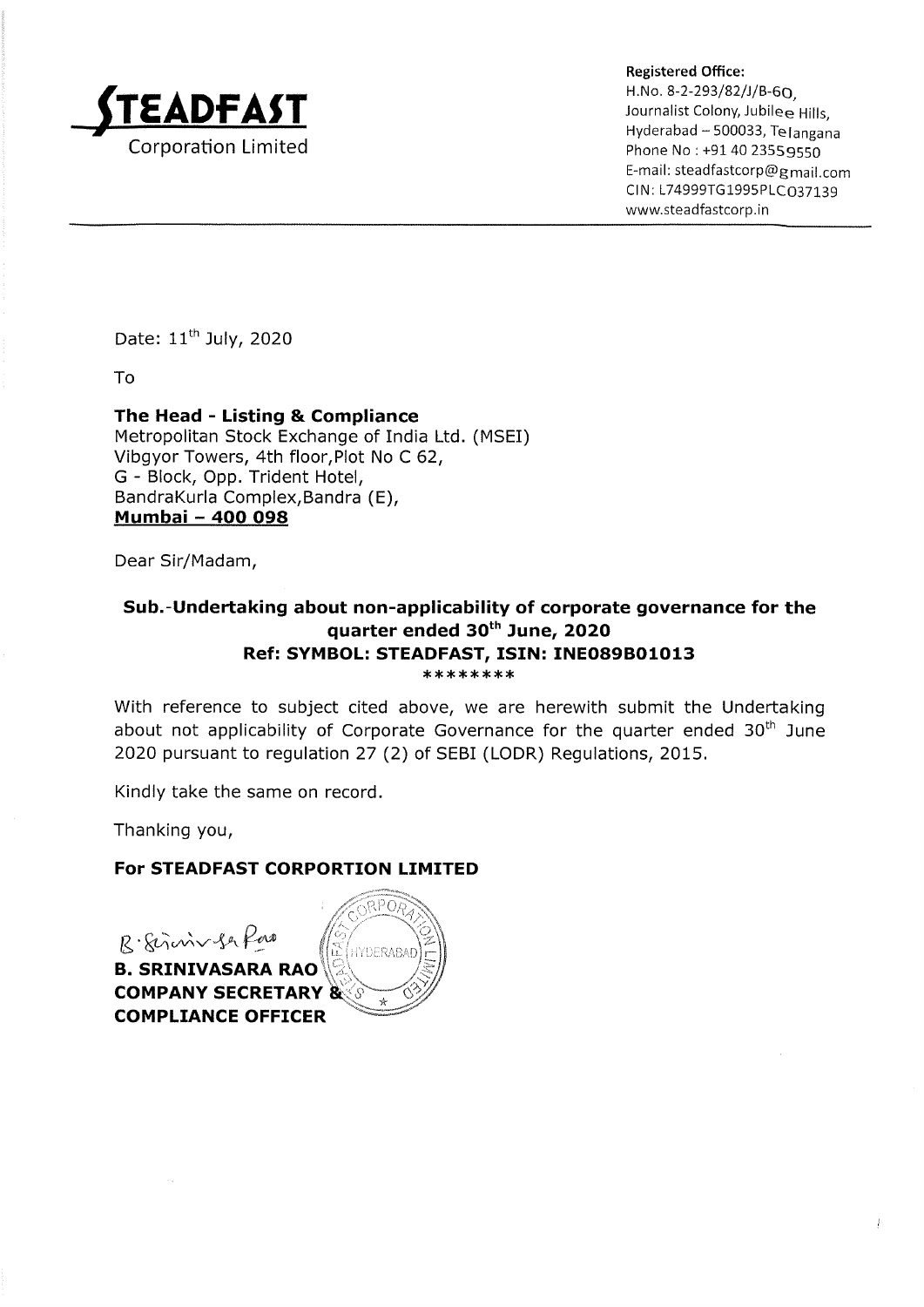

Registered Office: H.No. 8-2-293/82/)/B-60,  $\mathsf{EDFAST}$  and the subset of  $\mathsf{SUS}(\mathsf{SUS})$  and  $\mathsf{SUS}(\mathsf{SUS})$  and  $\mathsf{SUS}(\mathsf{SUS})$  and  $\mathsf{SUS}(\mathsf{SUS})$  and  $\mathsf{SUS}(\mathsf{SUS})$ Hyderabad ~ 500033, Telangana Corporation Limited **Phone No : +91 40 23559550** E-mail: steadfastcorp@gmail.com CIN: L74999TG1995PLC037139 www.steadfastcorp.in

Date: 11" July, 2020

To

# The Head - Listing & Compliance

Metropolitan Stock Exchange of India Ltd. (MSET) Vibgyor Towers, 4th floor,Plot No C 62, G - Block, Opp. Trident Hotel, Bandrakurla Complex,Bandra (E), Mumbai - 400 098

Dear Sir/Madam,

# Sub.-Undertaking about non-applicability of corporate governance for the quarter ended 30" June, 2020 Ref: SYMBOL: STEADFAST, ISIN: INEO89B01013  $********$

With reference to subject cited above, we are herewith submit the Undertaking about not applicability of Corporate Governance for the quarter ended  $30<sup>th</sup>$  June 2020 pursuant to regulation 27 (2) of SEBI (LODR) Regulations, 2015.

Kindly take the same on record.

Thanking you,

### For STEADFAST CORPORTION LIMITED

R. Sirvin Ser Pas B. SRINIVASARA RAO (C)<br>COMPANY SECRETARY & COMPLIANCE OFFICER